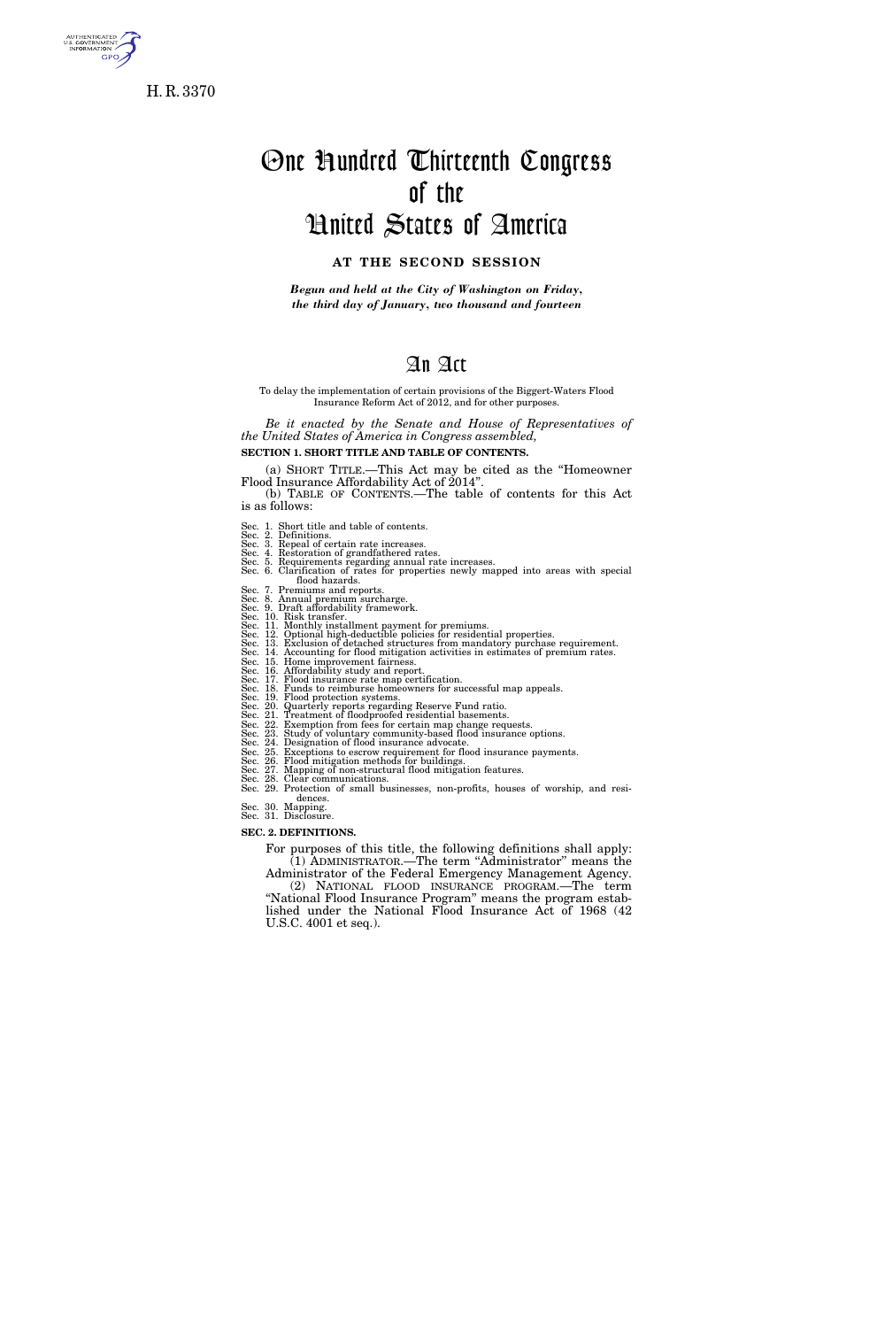

H. R. 3370

# One Hundred Thirteenth Congress of the United States of America

# **AT THE SECOND SESSION**

*Begun and held at the City of Washington on Friday, the third day of January, two thousand and fourteen* 

# An Act

#### To delay the implementation of certain provisions of the Biggert-Waters Flood Insurance Reform Act of 2012, and for other purposes.

*Be it enacted by the Senate and House of Representatives of the United States of America in Congress assembled,* 

**SECTION 1. SHORT TITLE AND TABLE OF CONTENTS.** 

(a) SHORT TITLE.—This Act may be cited as the ''Homeowner Flood Insurance Affordability Act of 2014''. (b) TABLE OF CONTENTS.—The table of contents for this Act

is as follows:

- 
- Sec. 1. Short title and table of contents.<br>Sec. 2. Definitions.<br>Sec. 3. Repeal of certain rate increases.<br>Sec. 4. Restoration of grandfathered rates.<br>Sec. 5. Requirements regarding annual rate increases.<br>Sec. 5. Requiremen

- 
- 
- 
- flood hazards.<br>
Sec. 7. Premiums and reports.<br>
Sec. 8. Annual premium surcharge.<br>
Sec. 9. Draft affordability framework.<br>
Sec. 11. Monthly installment payment for premiums.<br>
Sec. 11. Monthly installment payment for premium

- 
- 
- 
- 
- 
- 
- 
- 

Sec. 21. Treatment of floodproofed residential basements.<br>Sec. 22. Exemption from fees for certain map change requests.<br>Sec. 23. Study of voluntary community-based flood insurance options.<br>Sec. 24. Designation of flood ins dences.

Sec. 30. Mapping. Sec. 31. Disclosure.

#### **SEC. 2. DEFINITIONS.**

For purposes of this title, the following definitions shall apply: (1) ADMINISTRATOR.—The term ''Administrator'' means the Administrator of the Federal Emergency Management Agency. (2) NATIONAL FLOOD INSURANCE PROGRAM.—The term ''National Flood Insurance Program'' means the program established under the National Flood Insurance Act of 1968 (42 U.S.C. 4001 et seq.).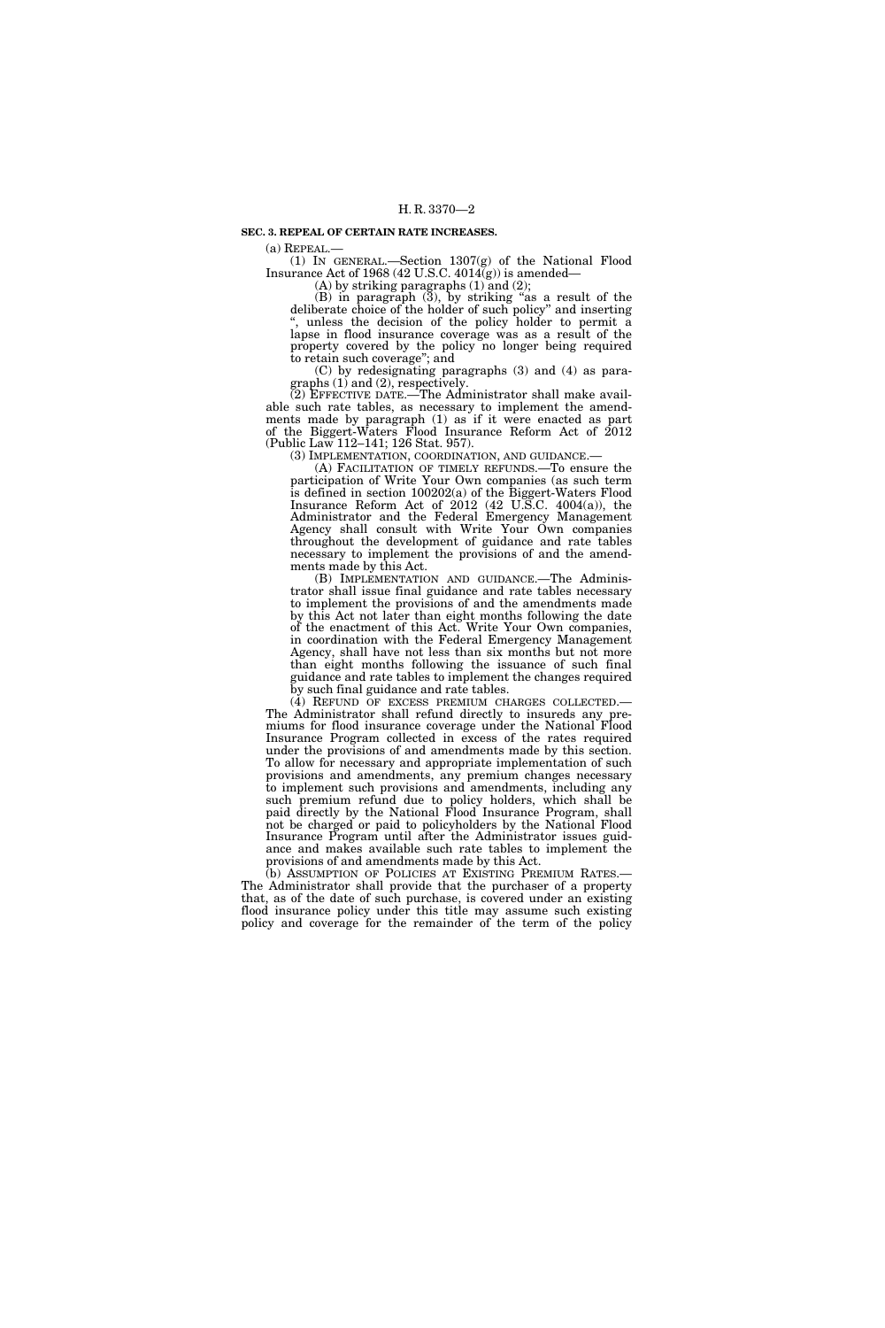#### **SEC. 3. REPEAL OF CERTAIN RATE INCREASES.**

(a) REPEAL.—<br>(1) IN GENERAL.—Section 1307(g) of the National Flood Insurance Act of 1968 (42 U.S.C.  $4014(g)$ ) is amended—

 $(A)$  by striking paragraphs  $(1)$  and  $(2)$ ;

(B) in paragraph (3), by striking ''as a result of the deliberate choice of the holder of such policy'' and inserting unless the decision of the policy holder to permit a lapse in flood insurance coverage was as a result of the property covered by the policy no longer being required to retain such coverage''; and

(C) by redesignating paragraphs (3) and (4) as paragraphs (1) and (2), respectively.

(2) EFFECTIVE DATE.—The Administrator shall make available such rate tables, as necessary to implement the amendments made by paragraph (1) as if it were enacted as part of the Biggert-Waters Flood Insurance Reform Act of 2012 (Public Law 112–141; 126 Stat. 957).

(3) IMPLEMENTATION, COORDINATION, AND GUIDANCE.— (A) FACILITATION OF TIMELY REFUNDS.—To ensure the participation of Write Your Own companies (as such term is defined in section 100202(a) of the Biggert-Waters Flood Insurance Reform Act of 2012 (42 U.S.C. 4004(a)), the Administrator and the Federal Emergency Management Agency shall consult with Write Your Own companies throughout the development of guidance and rate tables necessary to implement the provisions of and the amendments made by this Act.

(B) IMPLEMENTATION AND GUIDANCE.—The Administrator shall issue final guidance and rate tables necessary to implement the provisions of and the amendments made by this Act not later than eight months following the date of the enactment of this Act. Write Your Own companies, in coordination with the Federal Emergency Management Agency, shall have not less than six months but not more than eight months following the issuance of such final guidance and rate tables to implement the changes required by such final guidance and rate tables.

(4) REFUND OF EXCESS PREMIUM CHARGES COLLECTED.— The Administrator shall refund directly to insureds any premiums for flood insurance coverage under the National Flood Insurance Program collected in excess of the rates required under the provisions of and amendments made by this section. To allow for necessary and appropriate implementation of such provisions and amendments, any premium changes necessary to implement such provisions and amendments, including any such premium refund due to policy holders, which shall be paid directly by the National Flood Insurance Program, shall not be charged or paid to policyholders by the National Flood Insurance Program until after the Administrator issues guidance and makes available such rate tables to implement the provisions of and amendments made by this Act.

(b) ASSUMPTION OF POLICIES AT EXISTING PREMIUM RATES.— The Administrator shall provide that the purchaser of a property that, as of the date of such purchase, is covered under an existing flood insurance policy under this title may assume such existing policy and coverage for the remainder of the term of the policy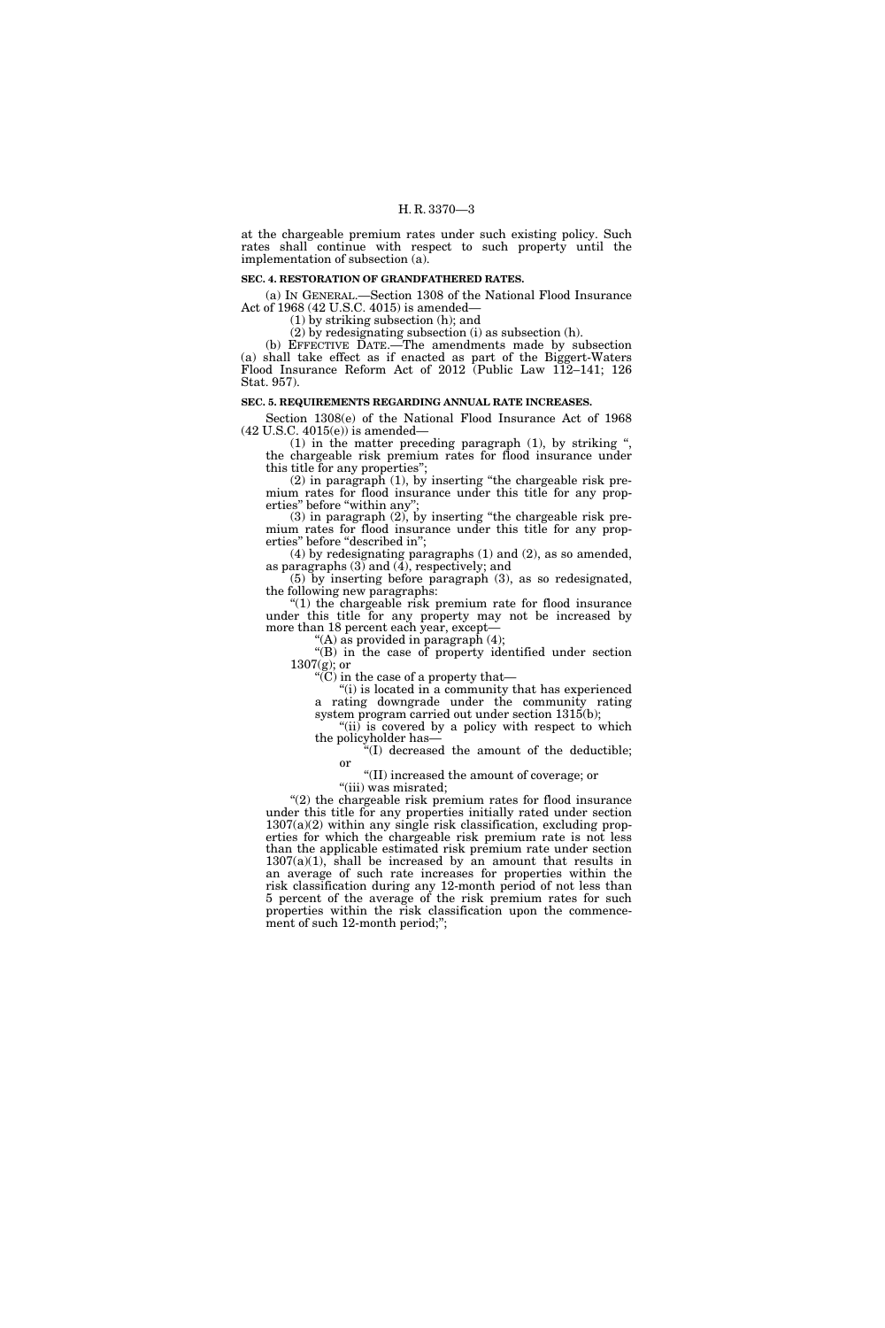at the chargeable premium rates under such existing policy. Such rates shall continue with respect to such property until the implementation of subsection (a).

#### **SEC. 4. RESTORATION OF GRANDFATHERED RATES.**

(a) IN GENERAL.—Section 1308 of the National Flood Insurance Act of 1968 (42 U.S.C. 4015) is amended—

(1) by striking subsection (h); and

(2) by redesignating subsection (i) as subsection (h).

(b) EFFECTIVE DATE.—The amendments made by subsection (a) shall take effect as if enacted as part of the Biggert-Waters Flood Insurance Reform Act of 2012 (Public Law 112–141; 126 Stat. 957).

#### **SEC. 5. REQUIREMENTS REGARDING ANNUAL RATE INCREASES.**

Section 1308(e) of the National Flood Insurance Act of 1968 (42 U.S.C. 4015(e)) is amended—

(1) in the matter preceding paragraph (1), by striking '', the chargeable risk premium rates for flood insurance under this title for any properties'';

(2) in paragraph  $(1)$ , by inserting "the chargeable risk premium rates for flood insurance under this title for any properties" before "within any";

(3) in paragraph (2), by inserting ''the chargeable risk premium rates for flood insurance under this title for any properties" before "described in";

(4) by redesignating paragraphs (1) and (2), as so amended, as paragraphs  $(3)$  and  $(4)$ , respectively; and

(5) by inserting before paragraph (3), as so redesignated, the following new paragraphs:

" $(1)$  the chargeable risk premium rate for flood insurance under this title for any property may not be increased by more than 18 percent each year, except—

 $^{\prime\prime}\mathrm{(A)}$  as provided in paragraph (4);

"(B) in the case of property identified under section  $1307(g)$ ; or

''(C) in the case of a property that—

''(i) is located in a community that has experienced a rating downgrade under the community rating system program carried out under section 1315(b);

" $(ii)$  is covered by a policy with respect to which the policyholder has—

''(I) decreased the amount of the deductible; or

''(II) increased the amount of coverage; or "(iii) was misrated;

 $(2)$  the chargeable risk premium rates for flood insurance under this title for any properties initially rated under section  $1307(a)(2)$  within any single risk classification, excluding properties for which the chargeable risk premium rate is not less than the applicable estimated risk premium rate under section  $1307(a)(1)$ , shall be increased by an amount that results in an average of such rate increases for properties within the risk classification during any 12-month period of not less than 5 percent of the average of the risk premium rates for such properties within the risk classification upon the commencement of such 12-month period;";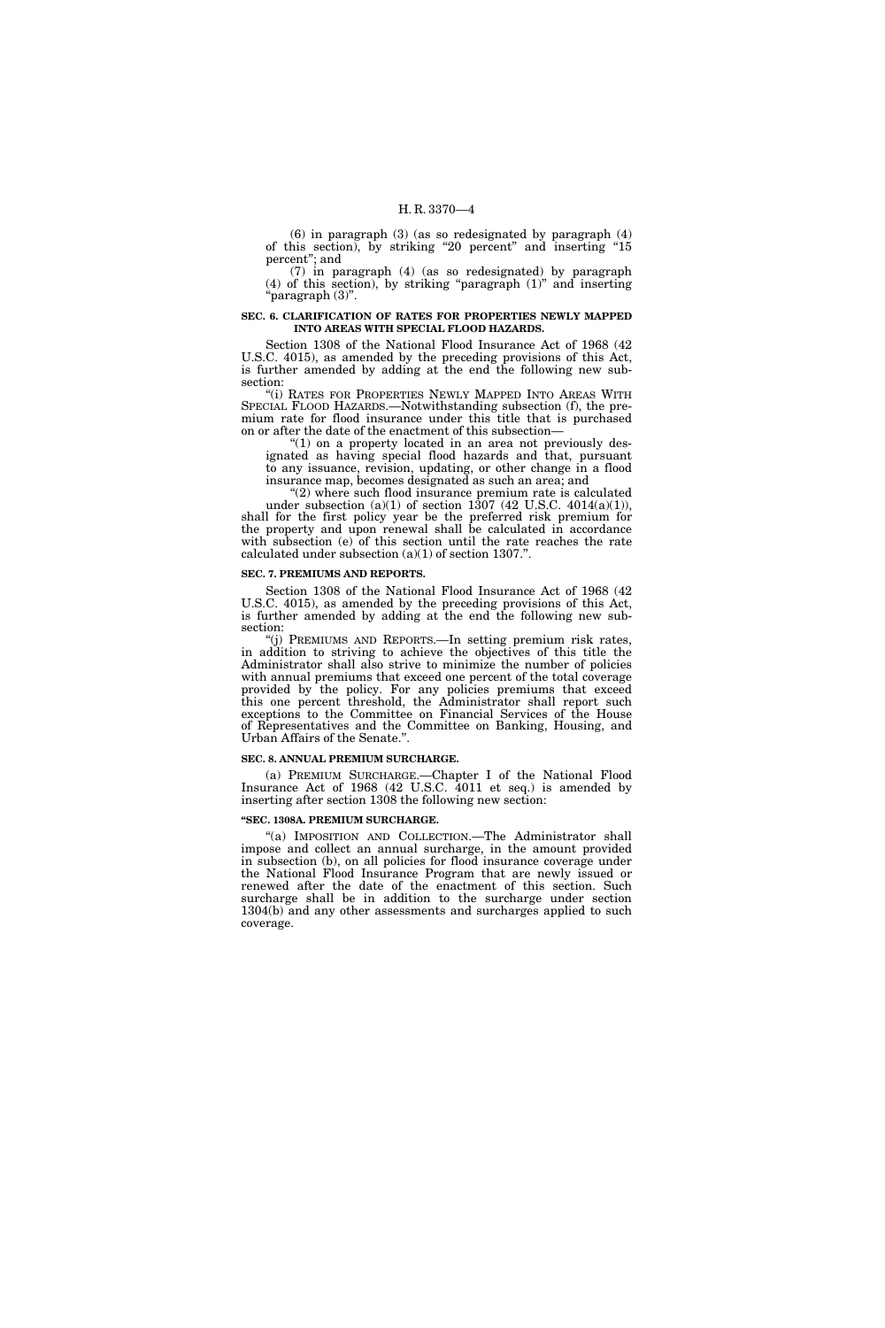(6) in paragraph (3) (as so redesignated by paragraph (4) of this section), by striking ''20 percent'' and inserting ''15 percent''; and

(7) in paragraph (4) (as so redesignated) by paragraph  $(4)$  of this section), by striking "paragraph  $(1)$ " and inserting ''paragraph (3)''.

#### **SEC. 6. CLARIFICATION OF RATES FOR PROPERTIES NEWLY MAPPED INTO AREAS WITH SPECIAL FLOOD HAZARDS.**

Section 1308 of the National Flood Insurance Act of 1968 (42 U.S.C. 4015), as amended by the preceding provisions of this Act, is further amended by adding at the end the following new subsection:

"(i) RATES FOR PROPERTIES NEWLY MAPPED INTO AREAS WITH SPECIAL FLOOD HAZARDS.—Notwithstanding subsection (f), the premium rate for flood insurance under this title that is purchased on or after the date of the enactment of this subsection—

''(1) on a property located in an area not previously designated as having special flood hazards and that, pursuant to any issuance, revision, updating, or other change in a flood insurance map, becomes designated as such an area; and

"(2) where such flood insurance premium rate is calculated under subsection  $(a)(1)$  of section 1307 (42 U.S.C. 4014 $(a)(1)$ ), shall for the first policy year be the preferred risk premium for the property and upon renewal shall be calculated in accordance with subsection (e) of this section until the rate reaches the rate calculated under subsection (a)(1) of section 1307.''.

#### **SEC. 7. PREMIUMS AND REPORTS.**

Section 1308 of the National Flood Insurance Act of 1968 (42 U.S.C. 4015), as amended by the preceding provisions of this Act, is further amended by adding at the end the following new subsection:

''(j) PREMIUMS AND REPORTS.—In setting premium risk rates, in addition to striving to achieve the objectives of this title the Administrator shall also strive to minimize the number of policies with annual premiums that exceed one percent of the total coverage provided by the policy. For any policies premiums that exceed this one percent threshold, the Administrator shall report such exceptions to the Committee on Financial Services of the House of Representatives and the Committee on Banking, Housing, and Urban Affairs of the Senate.''.

#### **SEC. 8. ANNUAL PREMIUM SURCHARGE.**

(a) PREMIUM SURCHARGE.—Chapter I of the National Flood Insurance Act of 1968 (42 U.S.C. 4011 et seq.) is amended by inserting after section 1308 the following new section:

#### **''SEC. 1308A. PREMIUM SURCHARGE.**

"(a) IMPOSITION AND COLLECTION.—The Administrator shall impose and collect an annual surcharge, in the amount provided in subsection (b), on all policies for flood insurance coverage under the National Flood Insurance Program that are newly issued or renewed after the date of the enactment of this section. Such surcharge shall be in addition to the surcharge under section 1304(b) and any other assessments and surcharges applied to such coverage.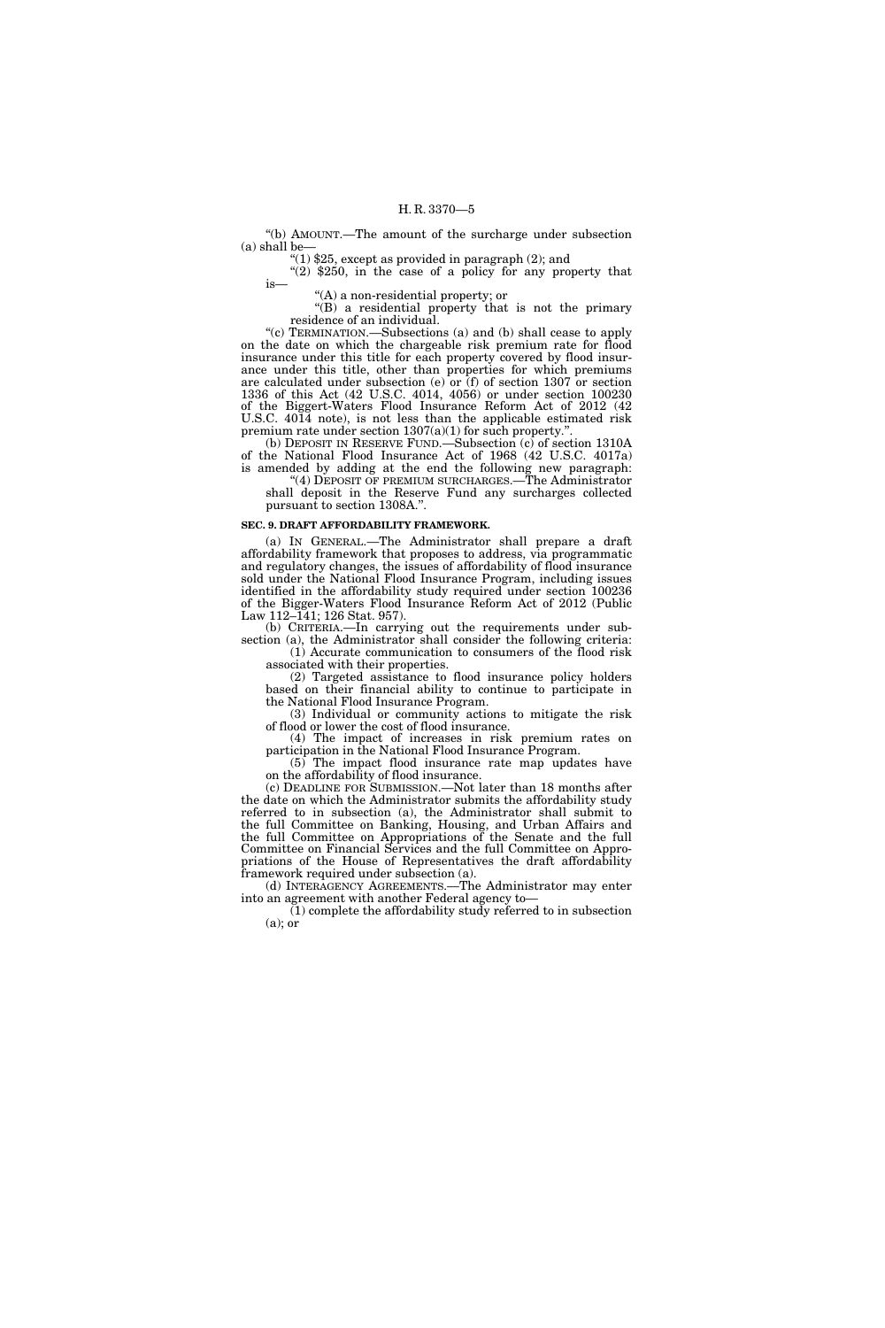''(b) AMOUNT.—The amount of the surcharge under subsection (a) shall be—

 $(1)$  \$25, except as provided in paragraph  $(2)$ ; and

 $\sqrt{\frac{2}{2}}$  \$250, in the case of a policy for any property that is—

''(A) a non-residential property; or

"(B) a residential property that is not the primary residence of an individual.

''(c) TERMINATION.—Subsections (a) and (b) shall cease to apply on the date on which the chargeable risk premium rate for flood insurance under this title for each property covered by flood insurance under this title, other than properties for which premiums are calculated under subsection (e) or  $(f)$  of section 1307 or section 1336 of this Act (42 U.S.C. 4014, 4056) or under section 100230 of the Biggert-Waters Flood Insurance Reform Act of 2012 (42 U.S.C. 4014 note), is not less than the applicable estimated risk premium rate under section  $1307(a)(1)$  for such property.".

(b) DEPOSIT IN RESERVE FUND.—Subsection (c) of section 1310A of the National Flood Insurance Act of 1968 (42 U.S.C. 4017a) is amended by adding at the end the following new paragraph:

''(4) DEPOSIT OF PREMIUM SURCHARGES.—The Administrator shall deposit in the Reserve Fund any surcharges collected pursuant to section 1308A.''.

#### **SEC. 9. DRAFT AFFORDABILITY FRAMEWORK.**

(a) IN GENERAL.—The Administrator shall prepare a draft affordability framework that proposes to address, via programmatic and regulatory changes, the issues of affordability of flood insurance sold under the National Flood Insurance Program, including issues identified in the affordability study required under section 100236 of the Bigger-Waters Flood Insurance Reform Act of 2012 (Public Law 112–141; 126 Stat. 957).

(b) CRITERIA.—In carrying out the requirements under subsection (a), the Administrator shall consider the following criteria: (1) Accurate communication to consumers of the flood risk

associated with their properties.

(2) Targeted assistance to flood insurance policy holders based on their financial ability to continue to participate in the National Flood Insurance Program.

(3) Individual or community actions to mitigate the risk of flood or lower the cost of flood insurance.

(4) The impact of increases in risk premium rates on participation in the National Flood Insurance Program.

(5) The impact flood insurance rate map updates have on the affordability of flood insurance.

(c) DEADLINE FOR SUBMISSION.—Not later than 18 months after the date on which the Administrator submits the affordability study referred to in subsection (a), the Administrator shall submit to the full Committee on Banking, Housing, and Urban Affairs and the full Committee on Appropriations of the Senate and the full Committee on Financial Services and the full Committee on Appropriations of the House of Representatives the draft affordability framework required under subsection (a).

(d) INTERAGENCY AGREEMENTS.—The Administrator may enter into an agreement with another Federal agency to—

(1) complete the affordability study referred to in subsection (a); or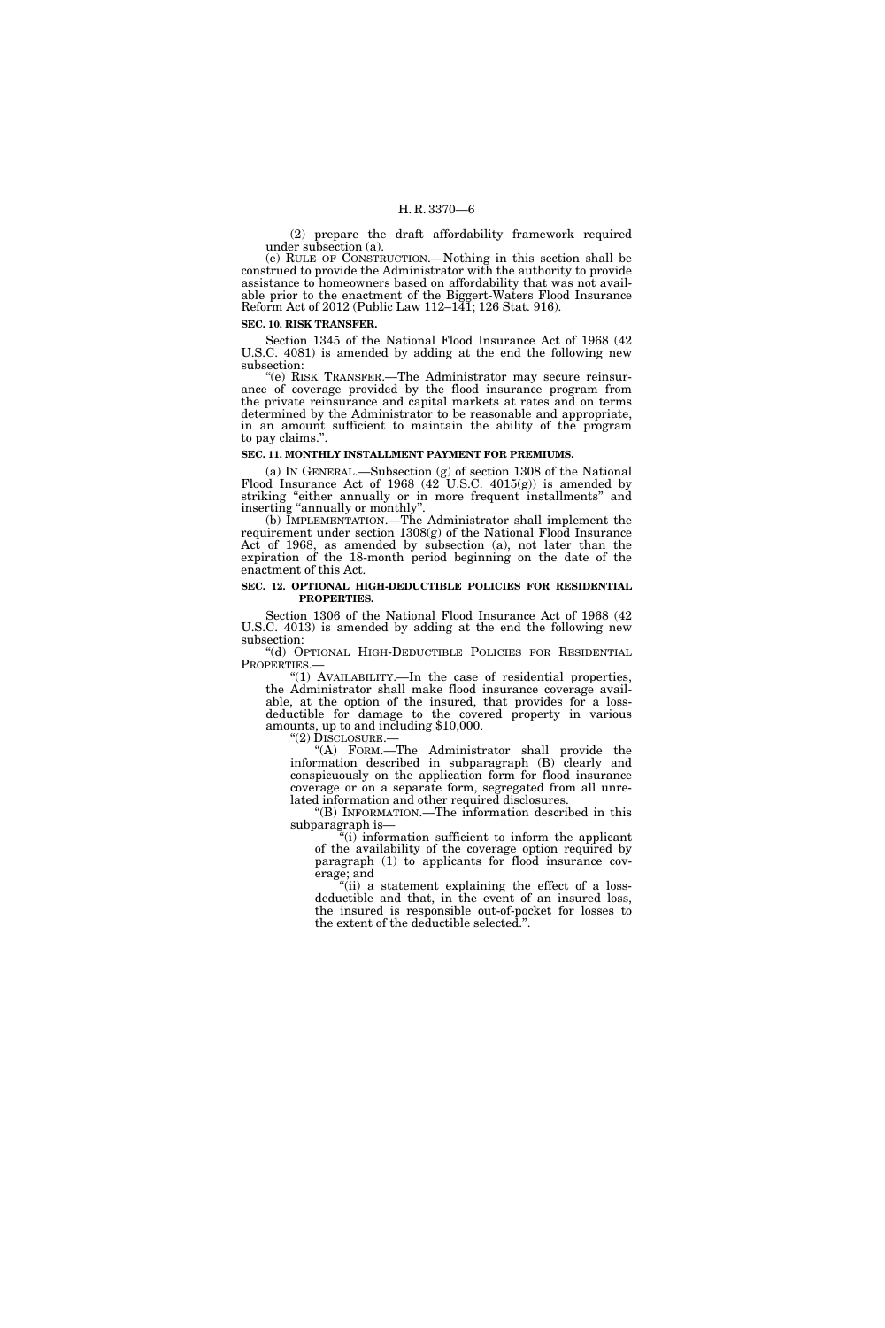(2) prepare the draft affordability framework required under subsection (a).

(e) RULE OF CONSTRUCTION.—Nothing in this section shall be construed to provide the Administrator with the authority to provide assistance to homeowners based on affordability that was not available prior to the enactment of the Biggert-Waters Flood Insurance Reform Act of 2012 (Public Law 112–141; 126 Stat. 916).

**SEC. 10. RISK TRANSFER.** 

Section 1345 of the National Flood Insurance Act of 1968 (42 U.S.C. 4081) is amended by adding at the end the following new subsection:

''(e) RISK TRANSFER.—The Administrator may secure reinsurance of coverage provided by the flood insurance program from the private reinsurance and capital markets at rates and on terms determined by the Administrator to be reasonable and appropriate, in an amount sufficient to maintain the ability of the program to pay claims.''.

#### **SEC. 11. MONTHLY INSTALLMENT PAYMENT FOR PREMIUMS.**

(a) IN GENERAL.—Subsection (g) of section 1308 of the National Flood Insurance Act of 1968 (42 U.S.C. 4015(g)) is amended by striking "either annually or in more frequent installments" and inserting "annually or monthly".

(b) IMPLEMENTATION.—The Administrator shall implement the requirement under section 1308(g) of the National Flood Insurance Act of 1968, as amended by subsection (a), not later than the expiration of the 18-month period beginning on the date of the enactment of this Act.

#### **SEC. 12. OPTIONAL HIGH-DEDUCTIBLE POLICIES FOR RESIDENTIAL PROPERTIES.**

Section 1306 of the National Flood Insurance Act of 1968 (42 U.S.C. 4013) is amended by adding at the end the following new subsection:

''(d) OPTIONAL HIGH-DEDUCTIBLE POLICIES FOR RESIDENTIAL

"(1) AVAILABILITY.—In the case of residential properties, the Administrator shall make flood insurance coverage available, at the option of the insured, that provides for a lossdeductible for damage to the covered property in various amounts, up to and including \$10,000.

"(2) DISCLOSURE.-

''(A) FORM.—The Administrator shall provide the information described in subparagraph (B) clearly and conspicuously on the application form for flood insurance coverage or on a separate form, segregated from all unrelated information and other required disclosures.

''(B) INFORMATION.—The information described in this subparagraph is—

''(i) information sufficient to inform the applicant of the availability of the coverage option required by paragraph (1) to applicants for flood insurance coverage; and

''(ii) a statement explaining the effect of a lossdeductible and that, in the event of an insured loss, the insured is responsible out-of-pocket for losses to the extent of the deductible selected.''.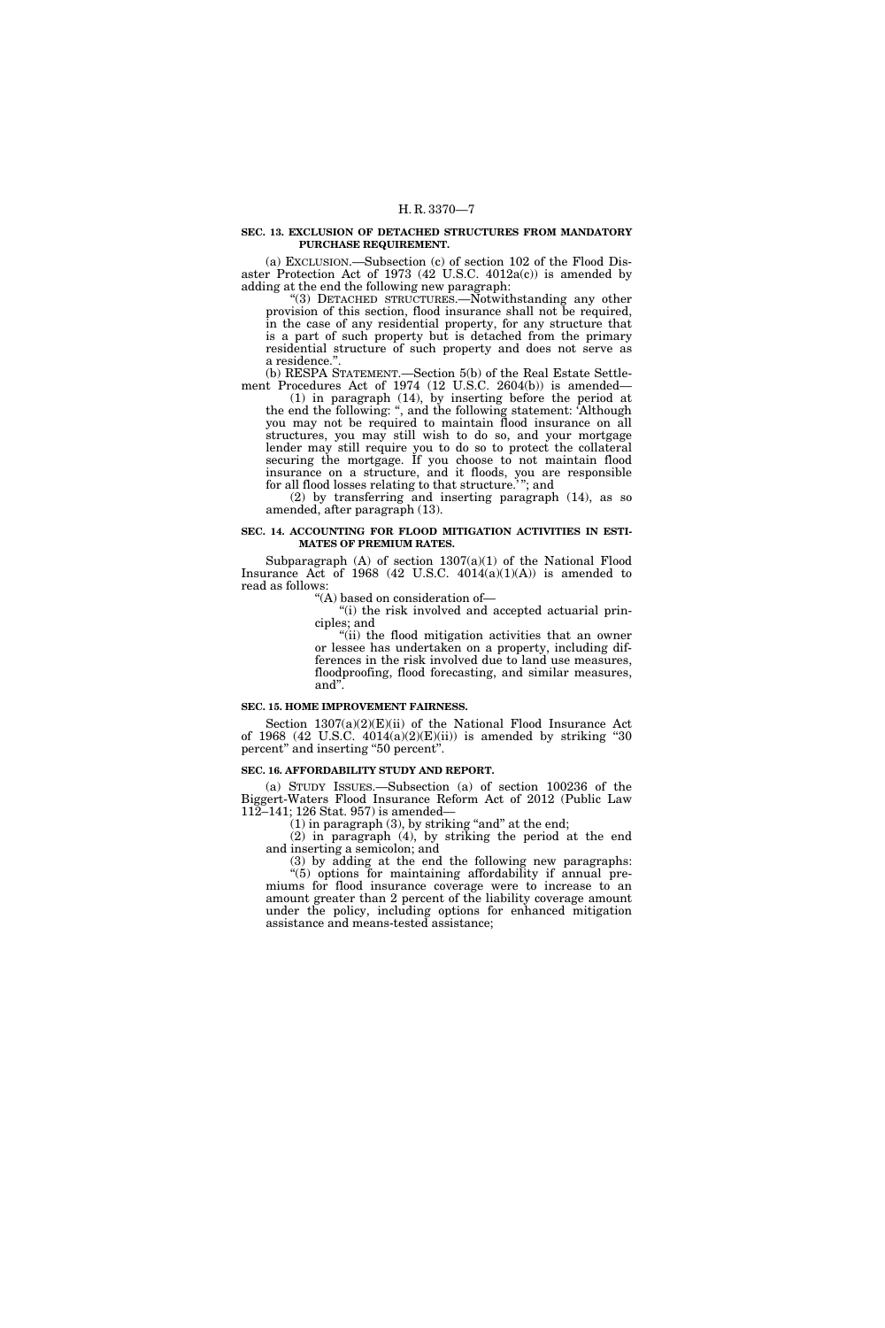#### **SEC. 13. EXCLUSION OF DETACHED STRUCTURES FROM MANDATORY PURCHASE REQUIREMENT.**

(a) EXCLUSION.—Subsection (c) of section 102 of the Flood Disaster Protection Act of 1973 (42 U.S.C. 4012a(c)) is amended by adding at the end the following new paragraph:

"(3) DETACHED STRUCTURES.—Notwithstanding any other provision of this section, flood insurance shall not be required, in the case of any residential property, for any structure that is a part of such property but is detached from the primary residential structure of such property and does not serve as a residence.

(b) RESPA STATEMENT.—Section 5(b) of the Real Estate Settlement Procedures Act of 1974 (12 U.S.C. 2604(b)) is amended—

(1) in paragraph (14), by inserting before the period at the end the following: '', and the following statement: 'Although you may not be required to maintain flood insurance on all structures, you may still wish to do so, and your mortgage lender may still require you to do so to protect the collateral securing the mortgage. If you choose to not maintain flood insurance on a structure, and it floods, you are responsible for all flood losses relating to that structure.' ''; and

(2) by transferring and inserting paragraph (14), as so amended, after paragraph (13).

#### **SEC. 14. ACCOUNTING FOR FLOOD MITIGATION ACTIVITIES IN ESTI-MATES OF PREMIUM RATES.**

Subparagraph  $(A)$  of section  $1307(a)(1)$  of the National Flood Insurance Act of 1968 (42 U.S.C.  $4014(a)(1)(A)$ ) is amended to read as follows:

''(A) based on consideration of—

"(i) the risk involved and accepted actuarial principles; and

"(ii) the flood mitigation activities that an owner or lessee has undertaken on a property, including differences in the risk involved due to land use measures, floodproofing, flood forecasting, and similar measures, and''.

### **SEC. 15. HOME IMPROVEMENT FAIRNESS.**

Section  $1307(a)(2)(E)(ii)$  of the National Flood Insurance Act of 1968 (42 U.S.C. 4014(a)(2)(E)(ii)) is amended by striking ''30 percent" and inserting "50 percent".

#### **SEC. 16. AFFORDABILITY STUDY AND REPORT.**

(a) STUDY ISSUES.—Subsection (a) of section 100236 of the Biggert-Waters Flood Insurance Reform Act of 2012 (Public Law 112–141; 126 Stat. 957) is amended—

 $(1)$  in paragraph  $(3)$ , by striking "and" at the end;

(2) in paragraph (4), by striking the period at the end and inserting a semicolon; and

(3) by adding at the end the following new paragraphs: ''(5) options for maintaining affordability if annual premiums for flood insurance coverage were to increase to an amount greater than 2 percent of the liability coverage amount under the policy, including options for enhanced mitigation assistance and means-tested assistance;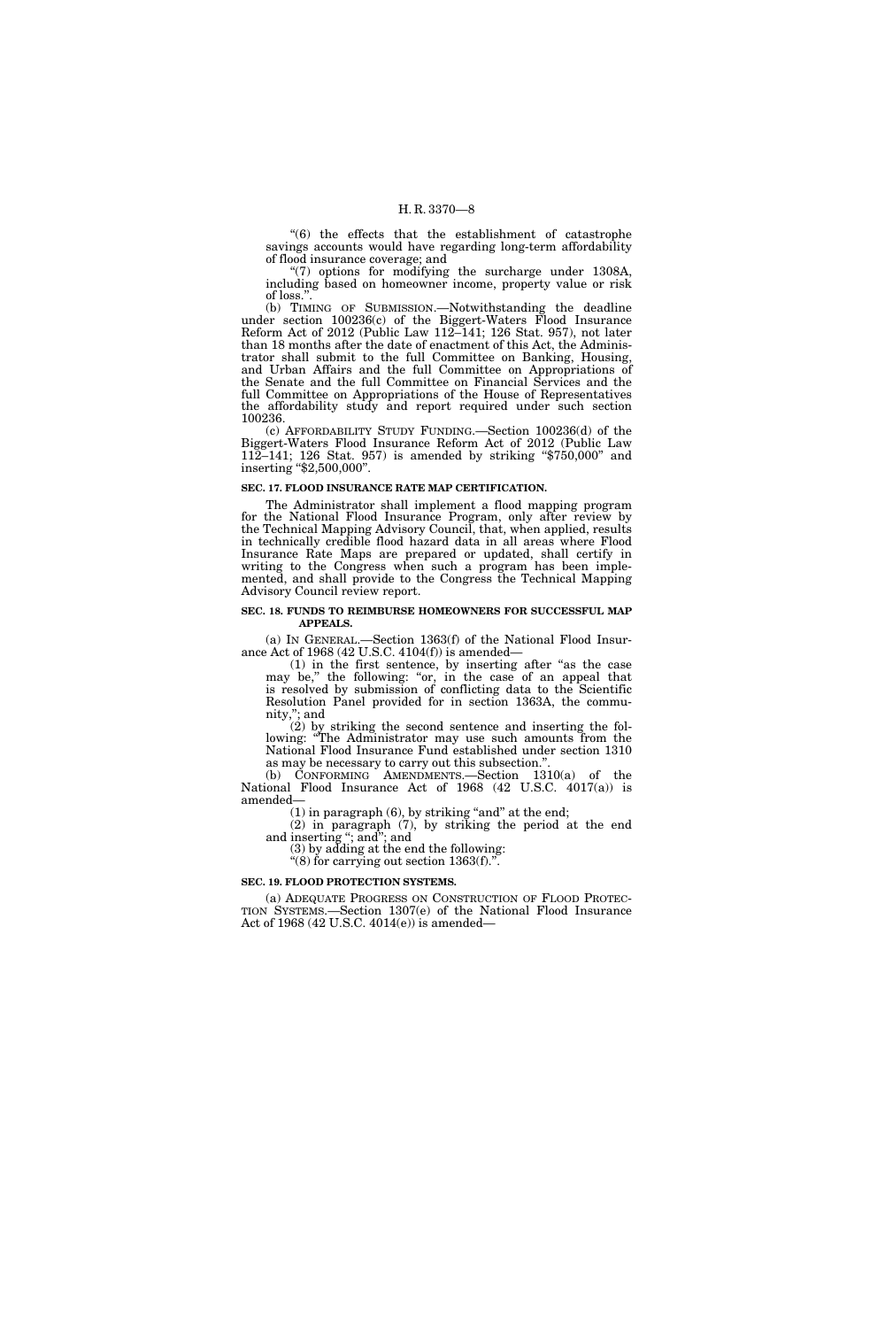"(6) the effects that the establishment of catastrophe savings accounts would have regarding long-term affordability of flood insurance coverage; and

 $(7)$  options for modifying the surcharge under 1308A, including based on homeowner income, property value or risk of loss.''.

(b) TIMING OF SUBMISSION.—Notwithstanding the deadline under section 100236(c) of the Biggert-Waters Flood Insurance Reform Act of 2012 (Public Law 112–141; 126 Stat. 957), not later than 18 months after the date of enactment of this Act, the Administrator shall submit to the full Committee on Banking, Housing, and Urban Affairs and the full Committee on Appropriations of the Senate and the full Committee on Financial Services and the full Committee on Appropriations of the House of Representatives the affordability study and report required under such section 100236.

(c) AFFORDABILITY STUDY FUNDING.—Section 100236(d) of the Biggert-Waters Flood Insurance Reform Act of 2012 (Public Law 112–141; 126 Stat. 957) is amended by striking ''\$750,000'' and inserting ''\$2,500,000''.

#### **SEC. 17. FLOOD INSURANCE RATE MAP CERTIFICATION.**

The Administrator shall implement a flood mapping program for the National Flood Insurance Program, only after review by the Technical Mapping Advisory Council, that, when applied, results in technically credible flood hazard data in all areas where Flood Insurance Rate Maps are prepared or updated, shall certify in writing to the Congress when such a program has been implemented, and shall provide to the Congress the Technical Mapping Advisory Council review report.

#### **SEC. 18. FUNDS TO REIMBURSE HOMEOWNERS FOR SUCCESSFUL MAP APPEALS.**

(a) IN GENERAL.—Section 1363(f) of the National Flood Insurance Act of 1968 (42 U.S.C. 4104(f)) is amended—

(1) in the first sentence, by inserting after ''as the case may be,'' the following: ''or, in the case of an appeal that is resolved by submission of conflicting data to the Scientific Resolution Panel provided for in section 1363A, the community,''; and

(2) by striking the second sentence and inserting the following: ''The Administrator may use such amounts from the National Flood Insurance Fund established under section 1310 as may be necessary to carry out this subsection.''.

(b) CONFORMING AMENDMENTS.—Section 1310(a) of the National Flood Insurance Act of 1968 (42 U.S.C. 4017(a)) is amended—

 $(1)$  in paragraph  $(6)$ , by striking "and" at the end;

(2) in paragraph (7), by striking the period at the end and inserting ''; and''; and

(3) by adding at the end the following: " $(8)$  for carrying out section 1363 $(f)$ .".

# **SEC. 19. FLOOD PROTECTION SYSTEMS.**

(a) ADEQUATE PROGRESS ON CONSTRUCTION OF FLOOD PROTEC-TION SYSTEMS.—Section 1307(e) of the National Flood Insurance Act of 1968 (42 U.S.C. 4014(e)) is amended—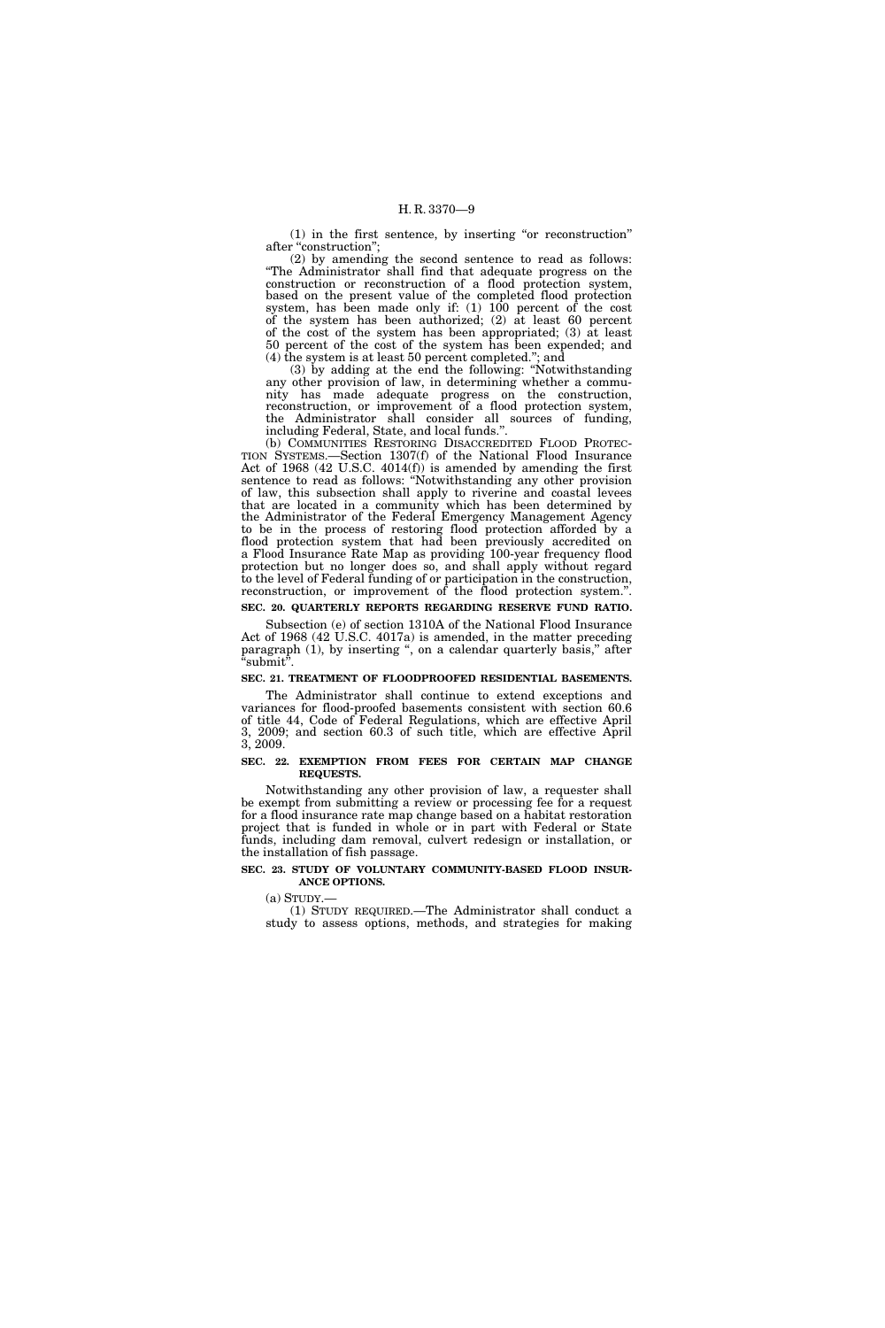(1) in the first sentence, by inserting ''or reconstruction'' after "construction";

(2) by amending the second sentence to read as follows: ''The Administrator shall find that adequate progress on the construction or reconstruction of a flood protection system, based on the present value of the completed flood protection system, has been made only if: (1) 100 percent of the cost of the system has been authorized; (2) at least 60 percent of the cost of the system has been appropriated; (3) at least 50 percent of the cost of the system has been expended; and (4) the system is at least 50 percent completed.''; and

(3) by adding at the end the following: ''Notwithstanding any other provision of law, in determining whether a community has made adequate progress on the construction, reconstruction, or improvement of a flood protection system, the Administrator shall consider all sources of funding, including Federal, State, and local funds.''.

(b) COMMUNITIES RESTORING DISACCREDITED FLOOD PROTEC-TION SYSTEMS.—Section 1307(f) of the National Flood Insurance Act of 1968 (42 U.S.C. 4014(f)) is amended by amending the first sentence to read as follows: ''Notwithstanding any other provision of law, this subsection shall apply to riverine and coastal levees that are located in a community which has been determined by the Administrator of the Federal Emergency Management Agency to be in the process of restoring flood protection afforded by a flood protection system that had been previously accredited on a Flood Insurance Rate Map as providing 100-year frequency flood protection but no longer does so, and shall apply without regard to the level of Federal funding of or participation in the construction, reconstruction, or improvement of the flood protection system.''.

# **SEC. 20. QUARTERLY REPORTS REGARDING RESERVE FUND RATIO.**

Subsection (e) of section 1310A of the National Flood Insurance Act of 1968 (42 U.S.C. 4017a) is amended, in the matter preceding paragraph (1), by inserting ", on a calendar quarterly basis," after  $\lq$  submit".

#### **SEC. 21. TREATMENT OF FLOODPROOFED RESIDENTIAL BASEMENTS.**

The Administrator shall continue to extend exceptions and variances for flood-proofed basements consistent with section 60.6 of title 44, Code of Federal Regulations, which are effective April 3, 2009; and section 60.3 of such title, which are effective April 3, 2009.

#### **SEC. 22. EXEMPTION FROM FEES FOR CERTAIN MAP CHANGE REQUESTS.**

Notwithstanding any other provision of law, a requester shall be exempt from submitting a review or processing fee for a request for a flood insurance rate map change based on a habitat restoration project that is funded in whole or in part with Federal or State funds, including dam removal, culvert redesign or installation, or the installation of fish passage.

#### **SEC. 23. STUDY OF VOLUNTARY COMMUNITY-BASED FLOOD INSUR-ANCE OPTIONS.**

 $(a)$  STUDY.

(1) STUDY REQUIRED.—The Administrator shall conduct a study to assess options, methods, and strategies for making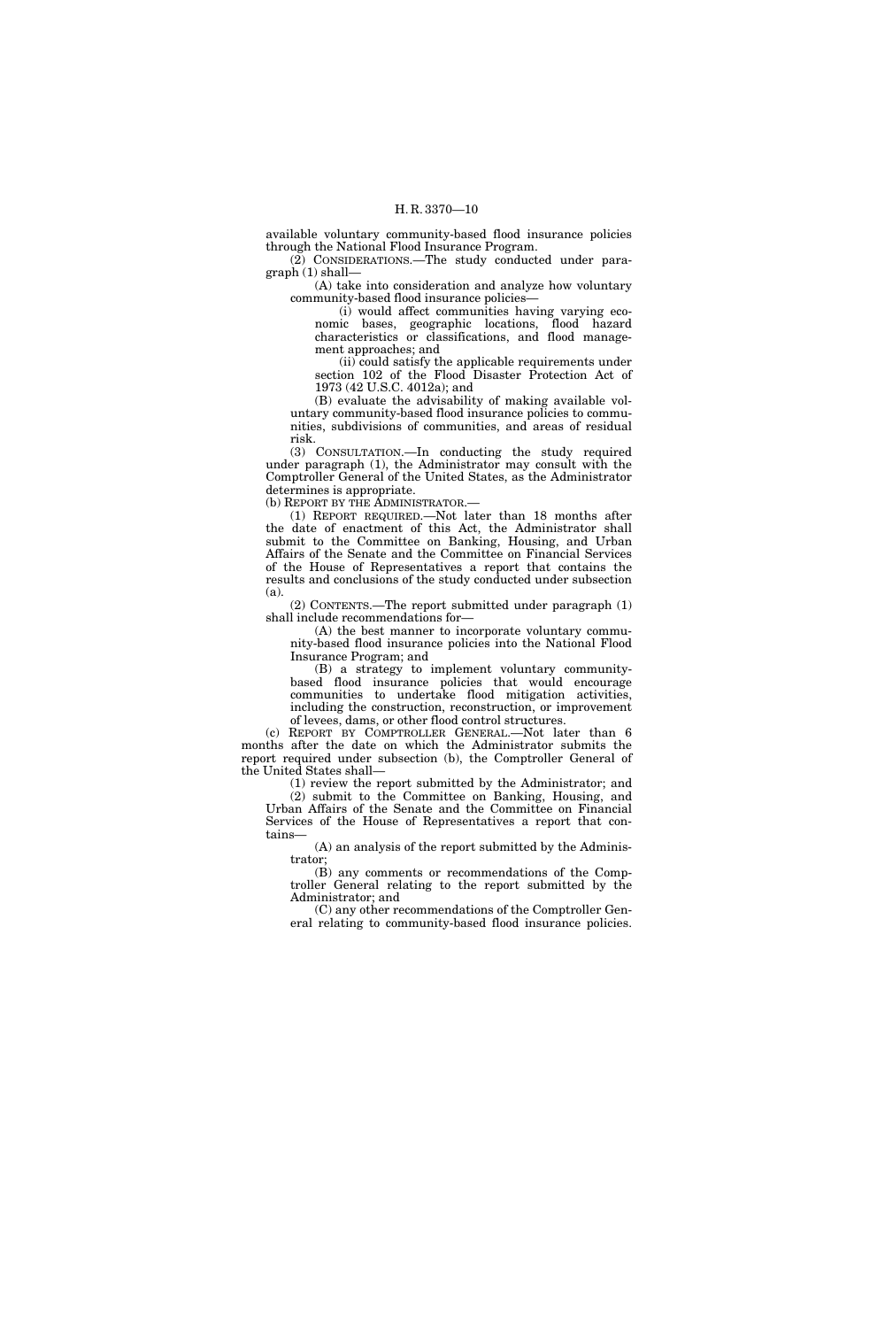available voluntary community-based flood insurance policies through the National Flood Insurance Program.

(2) CONSIDERATIONS.—The study conducted under paragraph (1) shall—

(A) take into consideration and analyze how voluntary community-based flood insurance policies—

(i) would affect communities having varying economic bases, geographic locations, flood hazard characteristics or classifications, and flood management approaches; and

(ii) could satisfy the applicable requirements under section 102 of the Flood Disaster Protection Act of 1973 (42 U.S.C. 4012a); and

(B) evaluate the advisability of making available voluntary community-based flood insurance policies to communities, subdivisions of communities, and areas of residual risk.

(3) CONSULTATION.—In conducting the study required under paragraph (1), the Administrator may consult with the Comptroller General of the United States, as the Administrator determines is appropriate.

(b) REPORT BY THE ADMINISTRATOR.—

(1) REPORT REQUIRED.—Not later than 18 months after the date of enactment of this Act, the Administrator shall submit to the Committee on Banking, Housing, and Urban Affairs of the Senate and the Committee on Financial Services of the House of Representatives a report that contains the results and conclusions of the study conducted under subsection (a).

(2) CONTENTS.—The report submitted under paragraph (1) shall include recommendations for—

(A) the best manner to incorporate voluntary community-based flood insurance policies into the National Flood Insurance Program; and

(B) a strategy to implement voluntary communitybased flood insurance policies that would encourage communities to undertake flood mitigation activities, including the construction, reconstruction, or improvement of levees, dams, or other flood control structures.

(c) REPORT BY COMPTROLLER GENERAL.—Not later than 6 months after the date on which the Administrator submits the report required under subsection (b), the Comptroller General of the United States shall—

(1) review the report submitted by the Administrator; and (2) submit to the Committee on Banking, Housing, and Urban Affairs of the Senate and the Committee on Financial Services of the House of Representatives a report that contains—

(A) an analysis of the report submitted by the Administrator;

(B) any comments or recommendations of the Comptroller General relating to the report submitted by the Administrator; and

(C) any other recommendations of the Comptroller General relating to community-based flood insurance policies.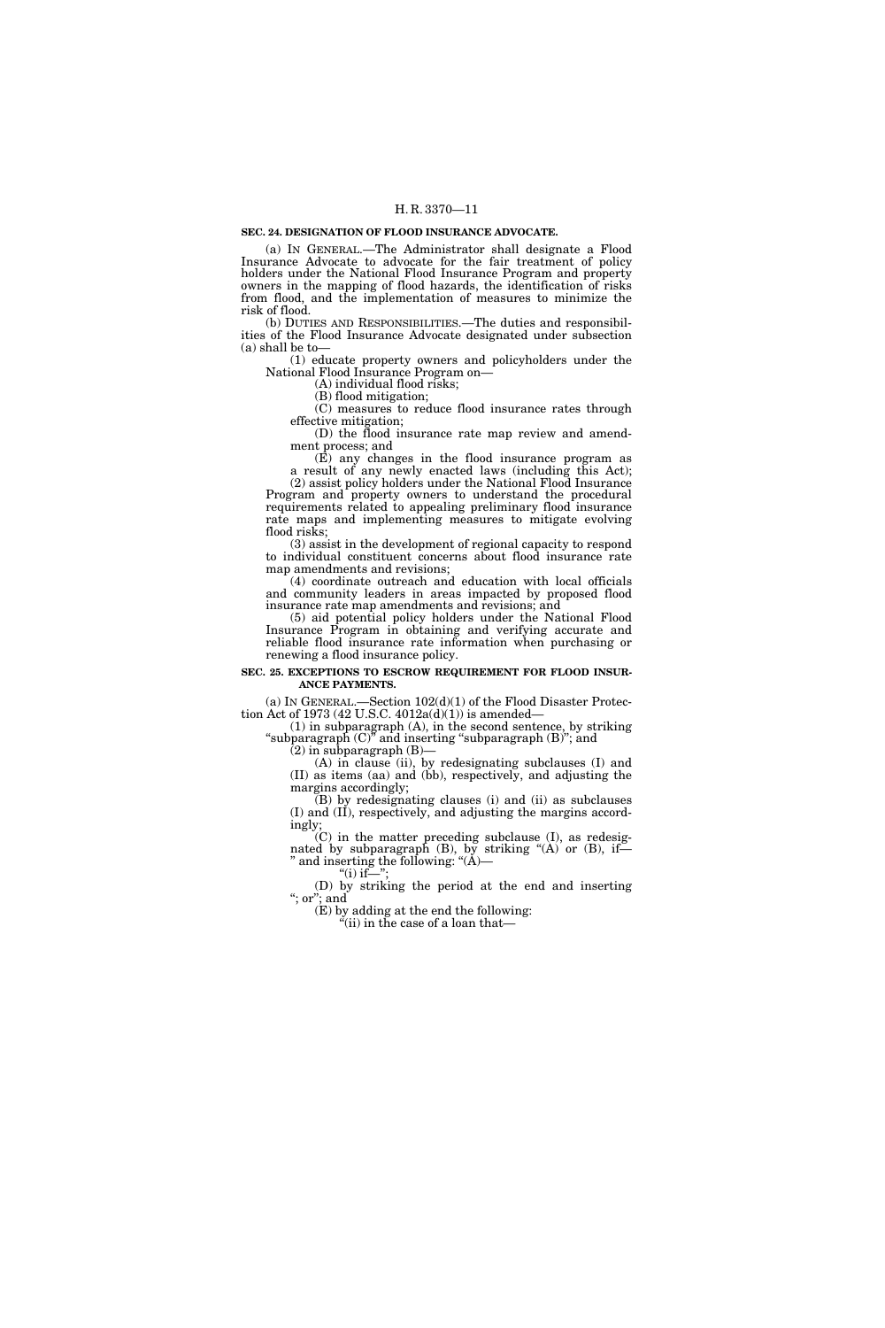#### **SEC. 24. DESIGNATION OF FLOOD INSURANCE ADVOCATE.**

(a) IN GENERAL.—The Administrator shall designate a Flood Insurance Advocate to advocate for the fair treatment of policy holders under the National Flood Insurance Program and property owners in the mapping of flood hazards, the identification of risks from flood, and the implementation of measures to minimize the risk of flood.

(b) DUTIES AND RESPONSIBILITIES.—The duties and responsibilities of the Flood Insurance Advocate designated under subsection (a) shall be to—

(1) educate property owners and policyholders under the National Flood Insurance Program on—

(A) individual flood risks;

(B) flood mitigation;

(C) measures to reduce flood insurance rates through effective mitigation;

(D) the flood insurance rate map review and amendment process; and

(E) any changes in the flood insurance program as a result of any newly enacted laws (including this Act); (2) assist policy holders under the National Flood Insurance

Program and property owners to understand the procedural requirements related to appealing preliminary flood insurance rate maps and implementing measures to mitigate evolving flood risks;

(3) assist in the development of regional capacity to respond to individual constituent concerns about flood insurance rate map amendments and revisions;

(4) coordinate outreach and education with local officials and community leaders in areas impacted by proposed flood insurance rate map amendments and revisions; and

(5) aid potential policy holders under the National Flood Insurance Program in obtaining and verifying accurate and reliable flood insurance rate information when purchasing or renewing a flood insurance policy.

### **SEC. 25. EXCEPTIONS TO ESCROW REQUIREMENT FOR FLOOD INSUR-ANCE PAYMENTS.**

(a) IN GENERAL.—Section  $102(d)(1)$  of the Flood Disaster Protection Act of 1973 (42 U.S.C. 4012a(d)(1)) is amended—

(1) in subparagraph (A), in the second sentence, by striking ''subparagraph (C)'' and inserting ''subparagraph (B)''; and

 $(2)$  in subparagraph  $(B)$ –

(A) in clause (ii), by redesignating subclauses (I) and (II) as items (aa) and (bb), respectively, and adjusting the margins accordingly;

(B) by redesignating clauses (i) and (ii) as subclauses (I) and (II), respectively, and adjusting the margins accordingly;

(C) in the matter preceding subclause (I), as redesignated by subparagraph  $(B)$ , by striking " $(A)$  or  $(B)$ , if-'' and inserting the following: ''(A)—

" $(i)$  if-

(D) by striking the period at the end and inserting ''; or''; and

(E) by adding at the end the following:

''(ii) in the case of a loan that—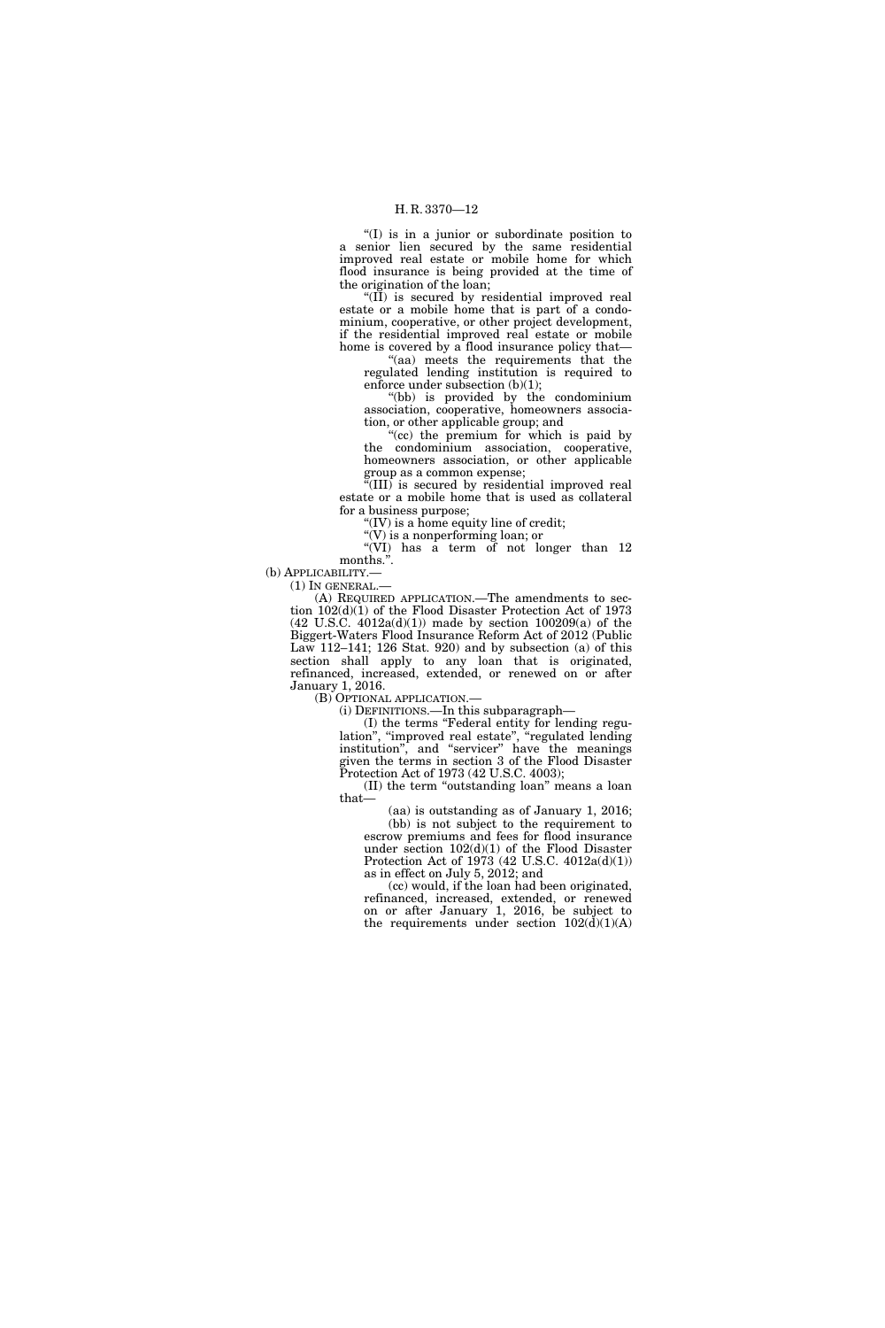''(I) is in a junior or subordinate position to a senior lien secured by the same residential improved real estate or mobile home for which flood insurance is being provided at the time of the origination of the loan;

" $(II)$  is secured by residential improved real estate or a mobile home that is part of a condominium, cooperative, or other project development, if the residential improved real estate or mobile home is covered by a flood insurance policy that—

"(aa) meets the requirements that the regulated lending institution is required to enforce under subsection (b)(1);

''(bb) is provided by the condominium association, cooperative, homeowners association, or other applicable group; and

(cc) the premium for which is paid by the condominium association, cooperative, homeowners association, or other applicable group as a common expense;

''(III) is secured by residential improved real estate or a mobile home that is used as collateral for a business purpose;

 $f(IV)$  is a home equity line of credit;

''(V) is a nonperforming loan; or

''(VI) has a term of not longer than 12 months.''.

(b) APPLICABILITY.—

 $(1)$  In GENERAL.-

(A) REQUIRED APPLICATION.—The amendments to section 102(d)(1) of the Flood Disaster Protection Act of 1973  $(42 \text{ U.S.C. } 4012a(d)(1))$  made by section  $100209(a)$  of the Biggert-Waters Flood Insurance Reform Act of 2012 (Public Law 112–141; 126 Stat. 920) and by subsection (a) of this section shall apply to any loan that is originated, refinanced, increased, extended, or renewed on or after January 1, 2016.

(B) OPTIONAL APPLICATION.—

(i) DEFINITIONS.—In this subparagraph—

(I) the terms ''Federal entity for lending regulation'', ''improved real estate'', ''regulated lending institution'', and ''servicer'' have the meanings given the terms in section 3 of the Flood Disaster Protection Act of 1973 (42 U.S.C. 4003);

(II) the term ''outstanding loan'' means a loan that—

(aa) is outstanding as of January 1, 2016; (bb) is not subject to the requirement to escrow premiums and fees for flood insurance under section 102(d)(1) of the Flood Disaster Protection Act of 1973 (42 U.S.C. 4012a(d)(1)) as in effect on July 5, 2012; and

(cc) would, if the loan had been originated, refinanced, increased, extended, or renewed on or after January 1, 2016, be subject to the requirements under section  $102(\text{d})(1)(\text{A})$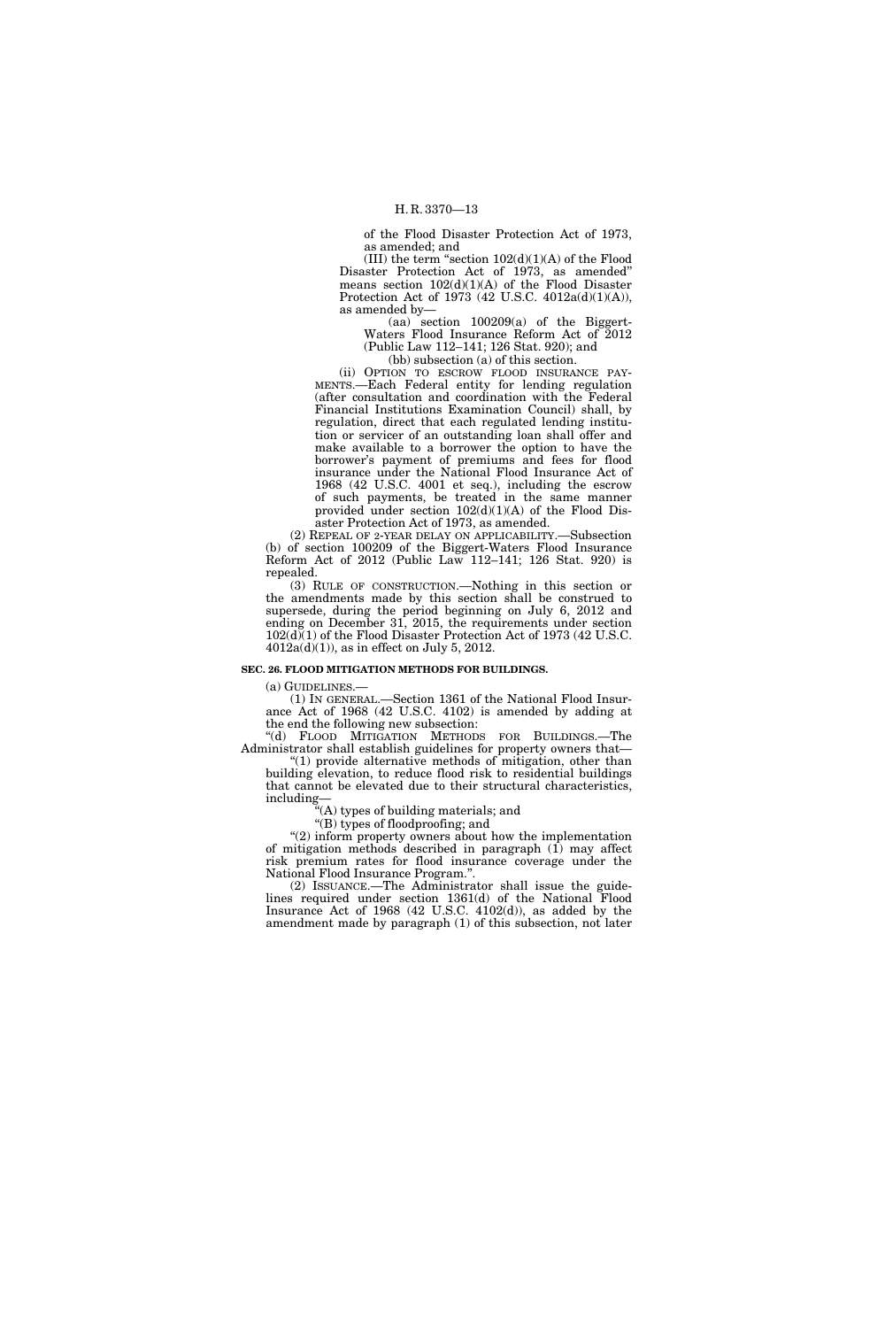of the Flood Disaster Protection Act of 1973, as amended; and

(III) the term "section  $102(d)(1)(A)$  of the Flood Disaster Protection Act of 1973, as amended'' means section  $102(d)(1)(A)$  of the Flood Disaster Protection Act of 1973 (42 U.S.C. 4012a(d)(1)(A)), as amended by—

 $(aa)$  section  $100209(a)$  of the Biggert-Waters Flood Insurance Reform Act of 2012 (Public Law 112–141; 126 Stat. 920); and (bb) subsection (a) of this section.

(ii) OPTION TO ESCROW FLOOD INSURANCE PAY-MENTS.—Each Federal entity for lending regulation (after consultation and coordination with the Federal Financial Institutions Examination Council) shall, by regulation, direct that each regulated lending institution or servicer of an outstanding loan shall offer and make available to a borrower the option to have the borrower's payment of premiums and fees for flood insurance under the National Flood Insurance Act of 1968 (42 U.S.C. 4001 et seq.), including the escrow of such payments, be treated in the same manner provided under section 102(d)(1)(A) of the Flood Disaster Protection Act of 1973, as amended.

(2) REPEAL OF 2-YEAR DELAY ON APPLICABILITY.—Subsection (b) of section 100209 of the Biggert-Waters Flood Insurance Reform Act of 2012 (Public Law 112–141; 126 Stat. 920) is repealed.

(3) RULE OF CONSTRUCTION.—Nothing in this section or the amendments made by this section shall be construed to supersede, during the period beginning on July 6, 2012 and ending on December 31, 2015, the requirements under section 102(d)(1) of the Flood Disaster Protection Act of 1973 (42 U.S.C.  $4012a(d)(1)$ , as in effect on July 5, 2012.

#### **SEC. 26. FLOOD MITIGATION METHODS FOR BUILDINGS.**

(a) GUIDELINES.—

(1) IN GENERAL.—Section 1361 of the National Flood Insurance Act of 1968 (42 U.S.C. 4102) is amended by adding at the end the following new subsection:

''(d) FLOOD MITIGATION METHODS FOR BUILDINGS.—The Administrator shall establish guidelines for property owners that—

" $(1)$  provide alternative methods of mitigation, other than building elevation, to reduce flood risk to residential buildings that cannot be elevated due to their structural characteristics, including—

''(A) types of building materials; and

''(B) types of floodproofing; and

"(2) inform property owners about how the implementation of mitigation methods described in paragraph (1) may affect risk premium rates for flood insurance coverage under the National Flood Insurance Program.''.

(2) ISSUANCE.—The Administrator shall issue the guidelines required under section 1361(d) of the National Flood Insurance Act of 1968 (42 U.S.C. 4102(d)), as added by the amendment made by paragraph (1) of this subsection, not later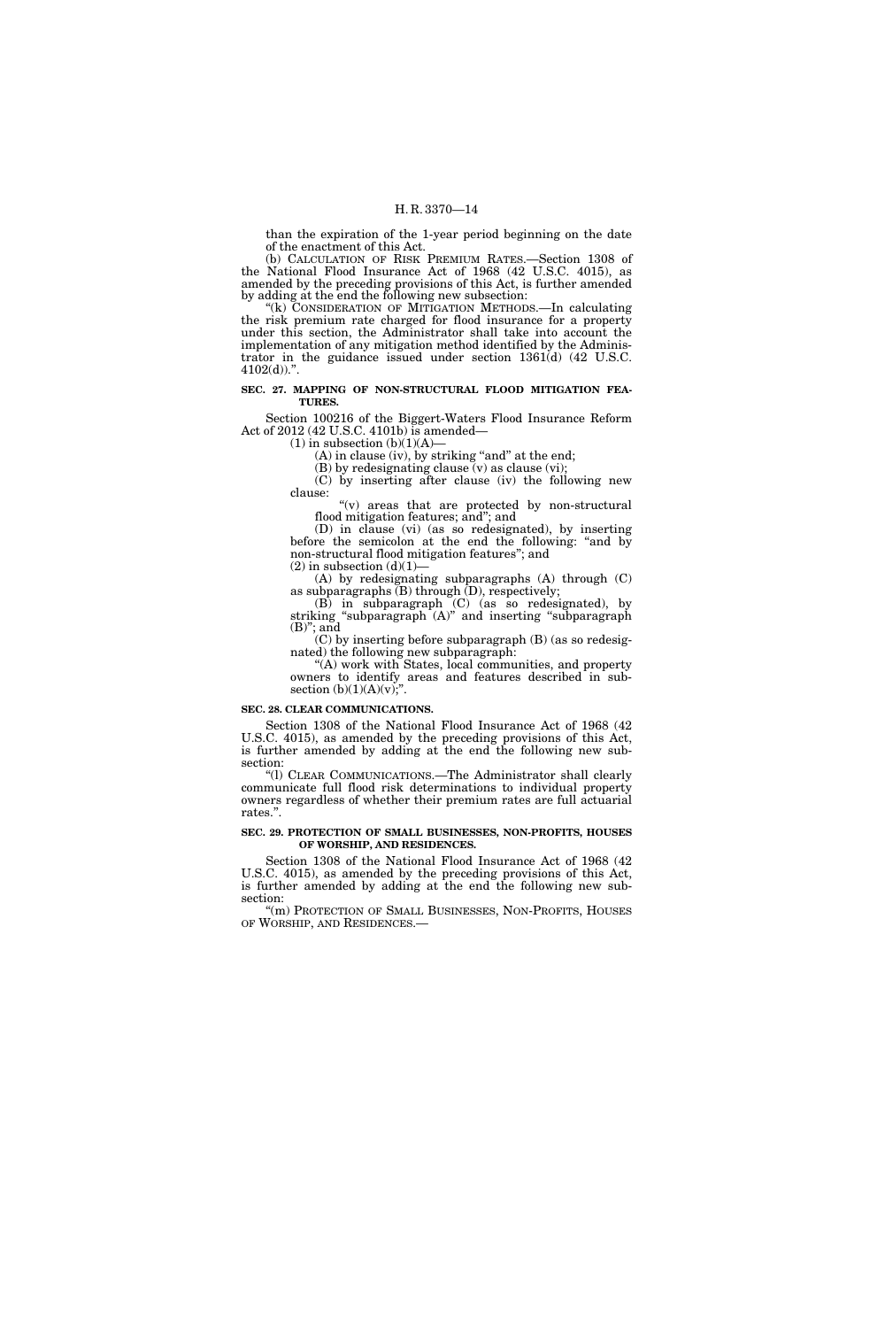than the expiration of the 1-year period beginning on the date of the enactment of this Act.

(b) CALCULATION OF RISK PREMIUM RATES.—Section 1308 of the National Flood Insurance Act of 1968 (42 U.S.C. 4015), as amended by the preceding provisions of this Act, is further amended by adding at the end the following new subsection:

''(k) CONSIDERATION OF MITIGATION METHODS.—In calculating the risk premium rate charged for flood insurance for a property under this section, the Administrator shall take into account the implementation of any mitigation method identified by the Administrator in the guidance issued under section 1361(d) (42 U.S.C.  $4102(d)$ .".

#### **SEC. 27. MAPPING OF NON-STRUCTURAL FLOOD MITIGATION FEA-TURES.**

Section 100216 of the Biggert-Waters Flood Insurance Reform Act of 2012 (42 U.S.C. 4101b) is amended—

 $(1)$  in subsection  $(b)(1)(A)$ 

 $(A)$  in clause (iv), by striking "and" at the end;

(B) by redesignating clause (v) as clause (vi); (C) by inserting after clause (iv) the following new clause:

" $(v)$  areas that are protected by non-structural flood mitigation features; and''; and

(D) in clause (vi) (as so redesignated), by inserting before the semicolon at the end the following: ''and by non-structural flood mitigation features''; and  $(2)$  in subsection  $(d)(1)$ –

(A) by redesignating subparagraphs (A) through (C) as subparagraphs  $(B)$  through  $(D)$ , respectively;

(B) in subparagraph (C) (as so redesignated), by striking ''subparagraph (A)'' and inserting ''subparagraph  $(B)$ "; and

(C) by inserting before subparagraph (B) (as so redesignated) the following new subparagraph:

''(A) work with States, local communities, and property owners to identify areas and features described in subsection  $(b)(1)(A)(v)$ ;

#### **SEC. 28. CLEAR COMMUNICATIONS.**

Section 1308 of the National Flood Insurance Act of 1968 (42 U.S.C. 4015), as amended by the preceding provisions of this Act, is further amended by adding at the end the following new subsection:

''(l) CLEAR COMMUNICATIONS.—The Administrator shall clearly communicate full flood risk determinations to individual property owners regardless of whether their premium rates are full actuarial rates.''.

#### **SEC. 29. PROTECTION OF SMALL BUSINESSES, NON-PROFITS, HOUSES OF WORSHIP, AND RESIDENCES.**

Section 1308 of the National Flood Insurance Act of 1968 (42 U.S.C. 4015), as amended by the preceding provisions of this Act, is further amended by adding at the end the following new subsection:

''(m) PROTECTION OF SMALL BUSINESSES, NON-PROFITS, HOUSES OF WORSHIP, AND RESIDENCES.—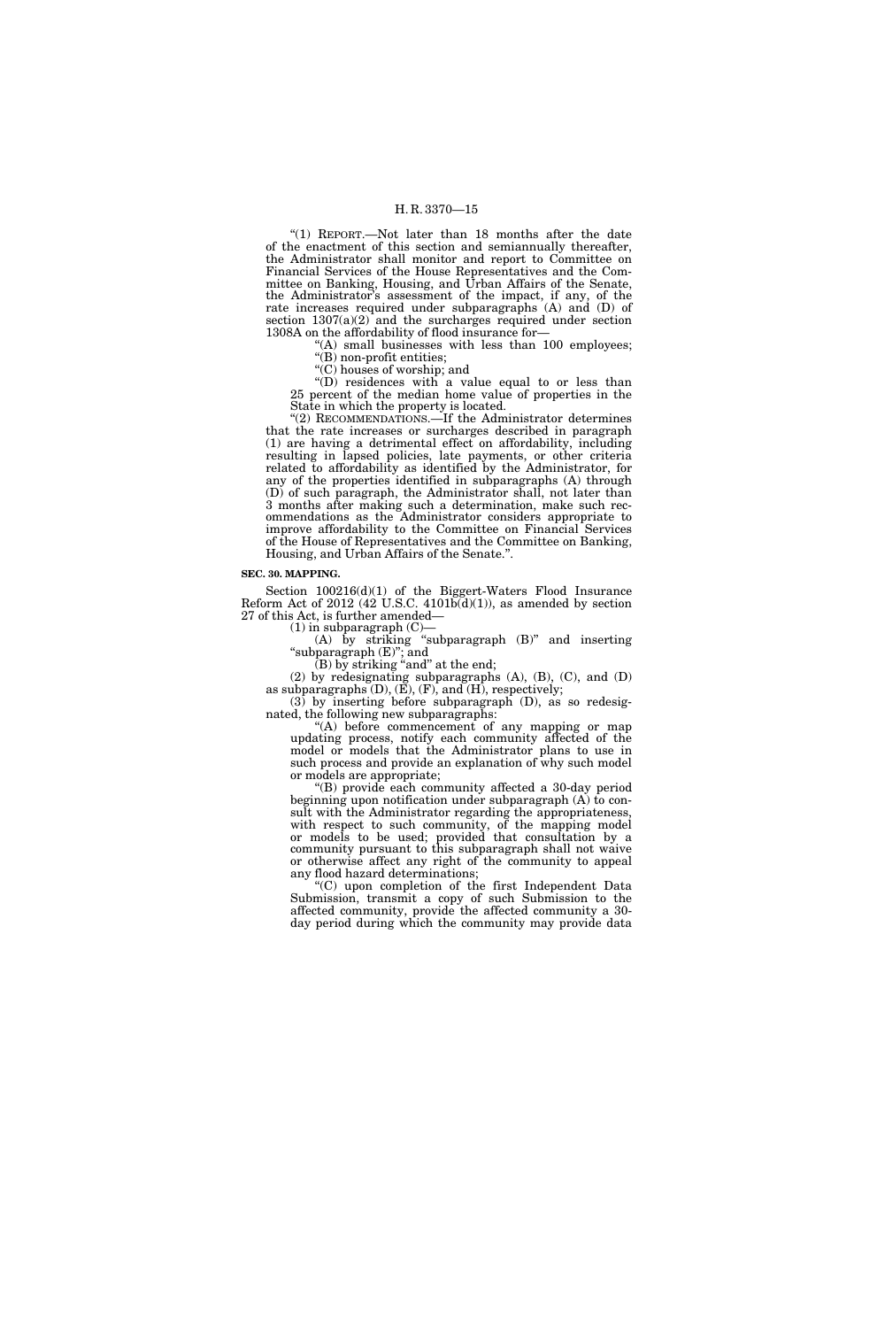''(1) REPORT.—Not later than 18 months after the date of the enactment of this section and semiannually thereafter, the Administrator shall monitor and report to Committee on Financial Services of the House Representatives and the Committee on Banking, Housing, and Urban Affairs of the Senate, the Administrator's assessment of the impact, if any, of the rate increases required under subparagraphs (A) and (D) of section  $1307(a)(2)$  and the surcharges required under section 1308A on the affordability of flood insurance for—

 $(A)$  small businesses with less than 100 employees;

''(B) non-profit entities;

''(C) houses of worship; and

''(D) residences with a value equal to or less than 25 percent of the median home value of properties in the State in which the property is located.

''(2) RECOMMENDATIONS.—If the Administrator determines that the rate increases or surcharges described in paragraph (1) are having a detrimental effect on affordability, including resulting in lapsed policies, late payments, or other criteria related to affordability as identified by the Administrator, for any of the properties identified in subparagraphs (A) through (D) of such paragraph, the Administrator shall, not later than 3 months after making such a determination, make such recommendations as the Administrator considers appropriate to improve affordability to the Committee on Financial Services of the House of Representatives and the Committee on Banking, Housing, and Urban Affairs of the Senate.''.

#### **SEC. 30. MAPPING.**

Section  $100216(d)(1)$  of the Biggert-Waters Flood Insurance Reform Act of 2012 (42 U.S.C. 4101 $\breve{\mathrm{b}}(\mathrm{d})(1)$ ), as amended by section 27 of this Act, is further amended—

 $(1)$  in subparagraph  $(C)$ -

 $(A)$  by striking "subparagraph  $(B)$ " and inserting ''subparagraph (E)''; and

 $(B)$  by striking "and" at the end;

(2) by redesignating subparagraphs (A), (B), (C), and (D) as subparagraphs (D), (E), (F), and (H), respectively; (3) by inserting before subparagraph (D), as so redesig-

nated, the following new subparagraphs:

''(A) before commencement of any mapping or map updating process, notify each community affected of the model or models that the Administrator plans to use in such process and provide an explanation of why such model or models are appropriate;

''(B) provide each community affected a 30-day period beginning upon notification under subparagraph (A) to consult with the Administrator regarding the appropriateness, with respect to such community, of the mapping model or models to be used; provided that consultation by a community pursuant to this subparagraph shall not waive or otherwise affect any right of the community to appeal any flood hazard determinations;

''(C) upon completion of the first Independent Data Submission, transmit a copy of such Submission to the affected community, provide the affected community a 30 day period during which the community may provide data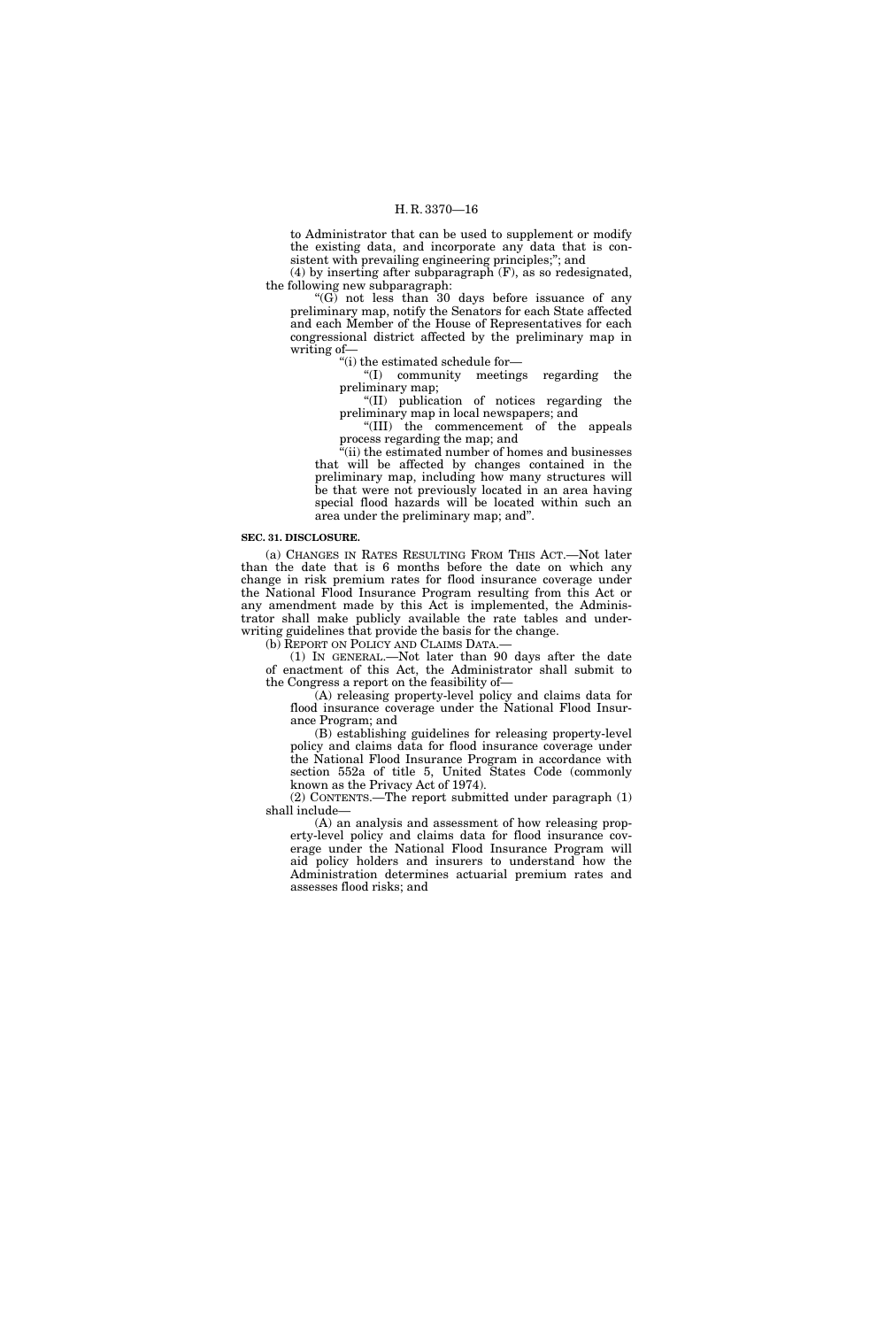to Administrator that can be used to supplement or modify the existing data, and incorporate any data that is consistent with prevailing engineering principles;''; and

 $(4)$  by inserting after subparagraph  $(F)$ , as so redesignated, the following new subparagraph:

''(G) not less than 30 days before issuance of any preliminary map, notify the Senators for each State affected and each Member of the House of Representatives for each congressional district affected by the preliminary map in writing of—

''(i) the estimated schedule for—

''(I) community meetings regarding the preliminary map;

''(II) publication of notices regarding the preliminary map in local newspapers; and

''(III) the commencement of the appeals process regarding the map; and

''(ii) the estimated number of homes and businesses that will be affected by changes contained in the preliminary map, including how many structures will be that were not previously located in an area having special flood hazards will be located within such an area under the preliminary map; and''.

#### **SEC. 31. DISCLOSURE.**

(a) CHANGES IN RATES RESULTING FROM THIS ACT.—Not later than the date that is 6 months before the date on which any change in risk premium rates for flood insurance coverage under the National Flood Insurance Program resulting from this Act or any amendment made by this Act is implemented, the Administrator shall make publicly available the rate tables and underwriting guidelines that provide the basis for the change.

(b) REPORT ON POLICY AND CLAIMS DATA.—

(1) IN GENERAL.—Not later than 90 days after the date of enactment of this Act, the Administrator shall submit to the Congress a report on the feasibility of—

(A) releasing property-level policy and claims data for flood insurance coverage under the National Flood Insurance Program; and

(B) establishing guidelines for releasing property-level policy and claims data for flood insurance coverage under the National Flood Insurance Program in accordance with section 552a of title 5, United States Code (commonly known as the Privacy Act of 1974).

(2) CONTENTS.—The report submitted under paragraph (1) shall include—

(A) an analysis and assessment of how releasing property-level policy and claims data for flood insurance coverage under the National Flood Insurance Program will aid policy holders and insurers to understand how the Administration determines actuarial premium rates and assesses flood risks; and